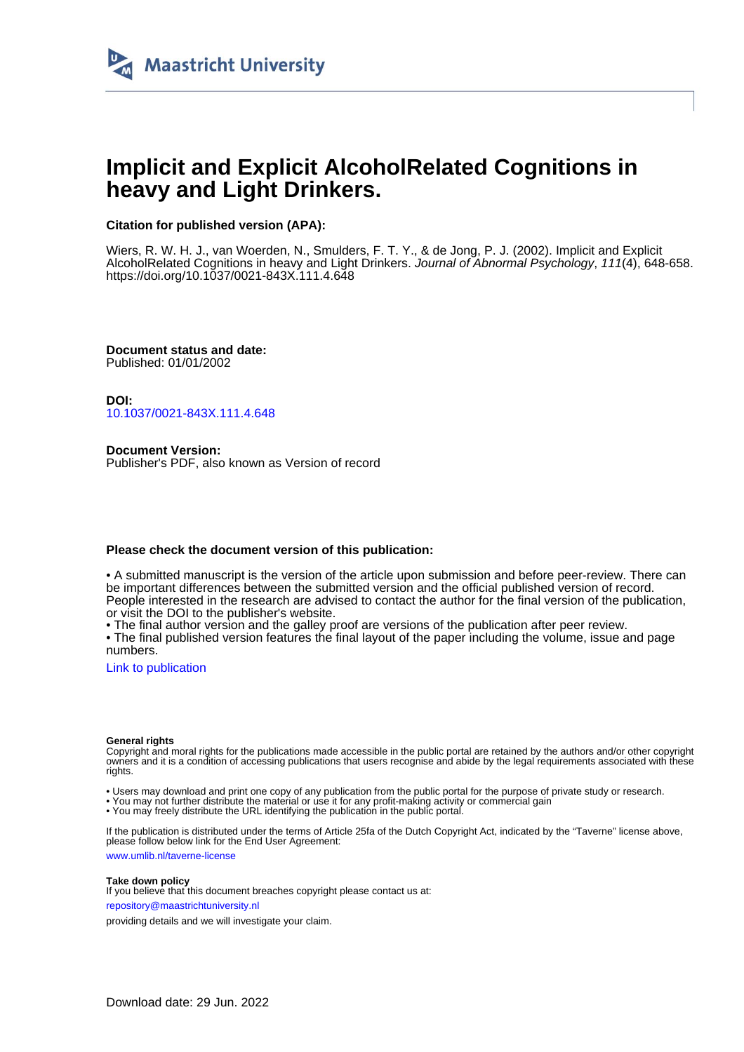

# **Implicit and Explicit AlcoholRelated Cognitions in heavy and Light Drinkers.**

## **Citation for published version (APA):**

Wiers, R. W. H. J., van Woerden, N., Smulders, F. T. Y., & de Jong, P. J. (2002). Implicit and Explicit AlcoholRelated Cognitions in heavy and Light Drinkers. Journal of Abnormal Psychology, 111(4), 648-658. <https://doi.org/10.1037/0021-843X.111.4.648>

**Document status and date:** Published: 01/01/2002

**DOI:** [10.1037/0021-843X.111.4.648](https://doi.org/10.1037/0021-843X.111.4.648)

**Document Version:** Publisher's PDF, also known as Version of record

## **Please check the document version of this publication:**

• A submitted manuscript is the version of the article upon submission and before peer-review. There can be important differences between the submitted version and the official published version of record. People interested in the research are advised to contact the author for the final version of the publication, or visit the DOI to the publisher's website.

• The final author version and the galley proof are versions of the publication after peer review.

• The final published version features the final layout of the paper including the volume, issue and page numbers.

[Link to publication](https://cris.maastrichtuniversity.nl/en/publications/2ef57adb-071a-457f-ade5-10d9e876198f)

#### **General rights**

Copyright and moral rights for the publications made accessible in the public portal are retained by the authors and/or other copyright owners and it is a condition of accessing publications that users recognise and abide by the legal requirements associated with these rights.

• Users may download and print one copy of any publication from the public portal for the purpose of private study or research.

• You may not further distribute the material or use it for any profit-making activity or commercial gain

• You may freely distribute the URL identifying the publication in the public portal.

If the publication is distributed under the terms of Article 25fa of the Dutch Copyright Act, indicated by the "Taverne" license above, please follow below link for the End User Agreement:

www.umlib.nl/taverne-license

#### **Take down policy**

If you believe that this document breaches copyright please contact us at: repository@maastrichtuniversity.nl

providing details and we will investigate your claim.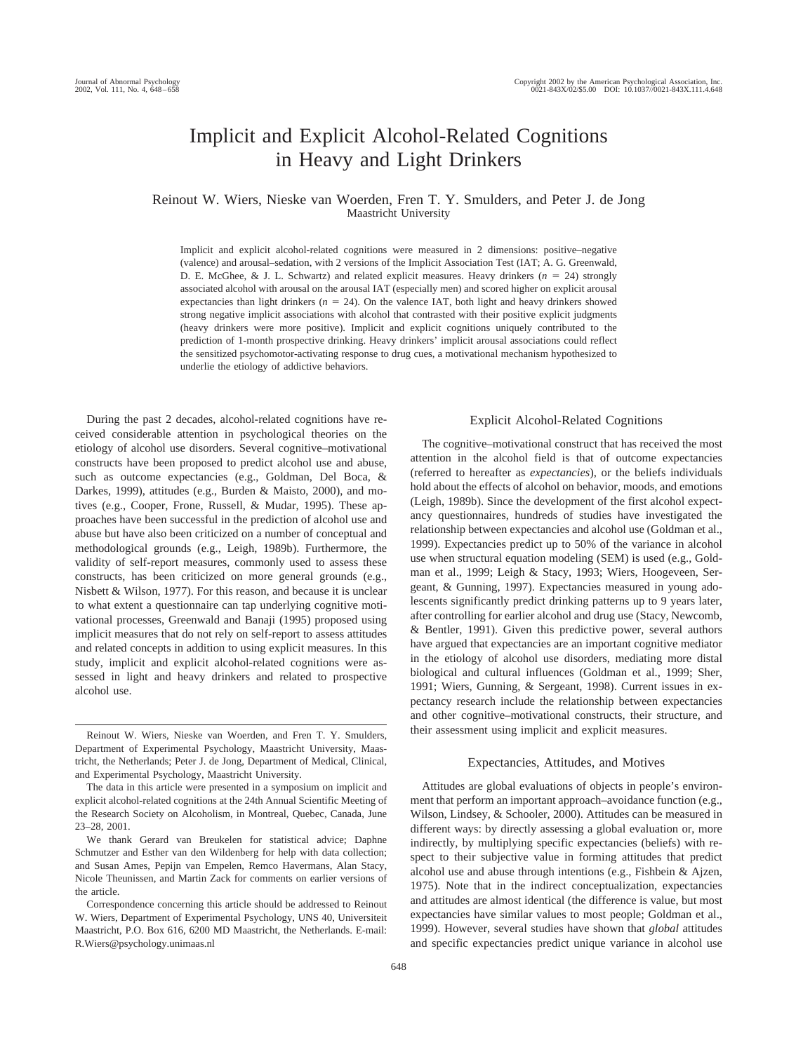## Implicit and Explicit Alcohol-Related Cognitions in Heavy and Light Drinkers

## Reinout W. Wiers, Nieske van Woerden, Fren T. Y. Smulders, and Peter J. de Jong Maastricht University

Implicit and explicit alcohol-related cognitions were measured in 2 dimensions: positive–negative (valence) and arousal–sedation, with 2 versions of the Implicit Association Test (IAT; A. G. Greenwald, D. E. McGhee, & J. L. Schwartz) and related explicit measures. Heavy drinkers (*n* 24) strongly associated alcohol with arousal on the arousal IAT (especially men) and scored higher on explicit arousal expectancies than light drinkers  $(n = 24)$ . On the valence IAT, both light and heavy drinkers showed strong negative implicit associations with alcohol that contrasted with their positive explicit judgments (heavy drinkers were more positive). Implicit and explicit cognitions uniquely contributed to the prediction of 1-month prospective drinking. Heavy drinkers' implicit arousal associations could reflect the sensitized psychomotor-activating response to drug cues, a motivational mechanism hypothesized to underlie the etiology of addictive behaviors.

During the past 2 decades, alcohol-related cognitions have received considerable attention in psychological theories on the etiology of alcohol use disorders. Several cognitive–motivational constructs have been proposed to predict alcohol use and abuse, such as outcome expectancies (e.g., Goldman, Del Boca, & Darkes, 1999), attitudes (e.g., Burden & Maisto, 2000), and motives (e.g., Cooper, Frone, Russell, & Mudar, 1995). These approaches have been successful in the prediction of alcohol use and abuse but have also been criticized on a number of conceptual and methodological grounds (e.g., Leigh, 1989b). Furthermore, the validity of self-report measures, commonly used to assess these constructs, has been criticized on more general grounds (e.g., Nisbett & Wilson, 1977). For this reason, and because it is unclear to what extent a questionnaire can tap underlying cognitive motivational processes, Greenwald and Banaji (1995) proposed using implicit measures that do not rely on self-report to assess attitudes and related concepts in addition to using explicit measures. In this study, implicit and explicit alcohol-related cognitions were assessed in light and heavy drinkers and related to prospective alcohol use.

#### Explicit Alcohol-Related Cognitions

The cognitive–motivational construct that has received the most attention in the alcohol field is that of outcome expectancies (referred to hereafter as *expectancies*), or the beliefs individuals hold about the effects of alcohol on behavior, moods, and emotions (Leigh, 1989b). Since the development of the first alcohol expectancy questionnaires, hundreds of studies have investigated the relationship between expectancies and alcohol use (Goldman et al., 1999). Expectancies predict up to 50% of the variance in alcohol use when structural equation modeling (SEM) is used (e.g., Goldman et al., 1999; Leigh & Stacy, 1993; Wiers, Hoogeveen, Sergeant, & Gunning, 1997). Expectancies measured in young adolescents significantly predict drinking patterns up to 9 years later, after controlling for earlier alcohol and drug use (Stacy, Newcomb, & Bentler, 1991). Given this predictive power, several authors have argued that expectancies are an important cognitive mediator in the etiology of alcohol use disorders, mediating more distal biological and cultural influences (Goldman et al., 1999; Sher, 1991; Wiers, Gunning, & Sergeant, 1998). Current issues in expectancy research include the relationship between expectancies and other cognitive–motivational constructs, their structure, and their assessment using implicit and explicit measures.

#### Expectancies, Attitudes, and Motives

Attitudes are global evaluations of objects in people's environment that perform an important approach–avoidance function (e.g., Wilson, Lindsey, & Schooler, 2000). Attitudes can be measured in different ways: by directly assessing a global evaluation or, more indirectly, by multiplying specific expectancies (beliefs) with respect to their subjective value in forming attitudes that predict alcohol use and abuse through intentions (e.g., Fishbein & Ajzen, 1975). Note that in the indirect conceptualization, expectancies and attitudes are almost identical (the difference is value, but most expectancies have similar values to most people; Goldman et al., 1999). However, several studies have shown that *global* attitudes and specific expectancies predict unique variance in alcohol use

Reinout W. Wiers, Nieske van Woerden, and Fren T. Y. Smulders, Department of Experimental Psychology, Maastricht University, Maastricht, the Netherlands; Peter J. de Jong, Department of Medical, Clinical, and Experimental Psychology, Maastricht University.

The data in this article were presented in a symposium on implicit and explicit alcohol-related cognitions at the 24th Annual Scientific Meeting of the Research Society on Alcoholism, in Montreal, Quebec, Canada, June 23–28, 2001.

We thank Gerard van Breukelen for statistical advice; Daphne Schmutzer and Esther van den Wildenberg for help with data collection; and Susan Ames, Pepijn van Empelen, Remco Havermans, Alan Stacy, Nicole Theunissen, and Martin Zack for comments on earlier versions of the article.

Correspondence concerning this article should be addressed to Reinout W. Wiers, Department of Experimental Psychology, UNS 40, Universiteit Maastricht, P.O. Box 616, 6200 MD Maastricht, the Netherlands. E-mail: R.Wiers@psychology.unimaas.nl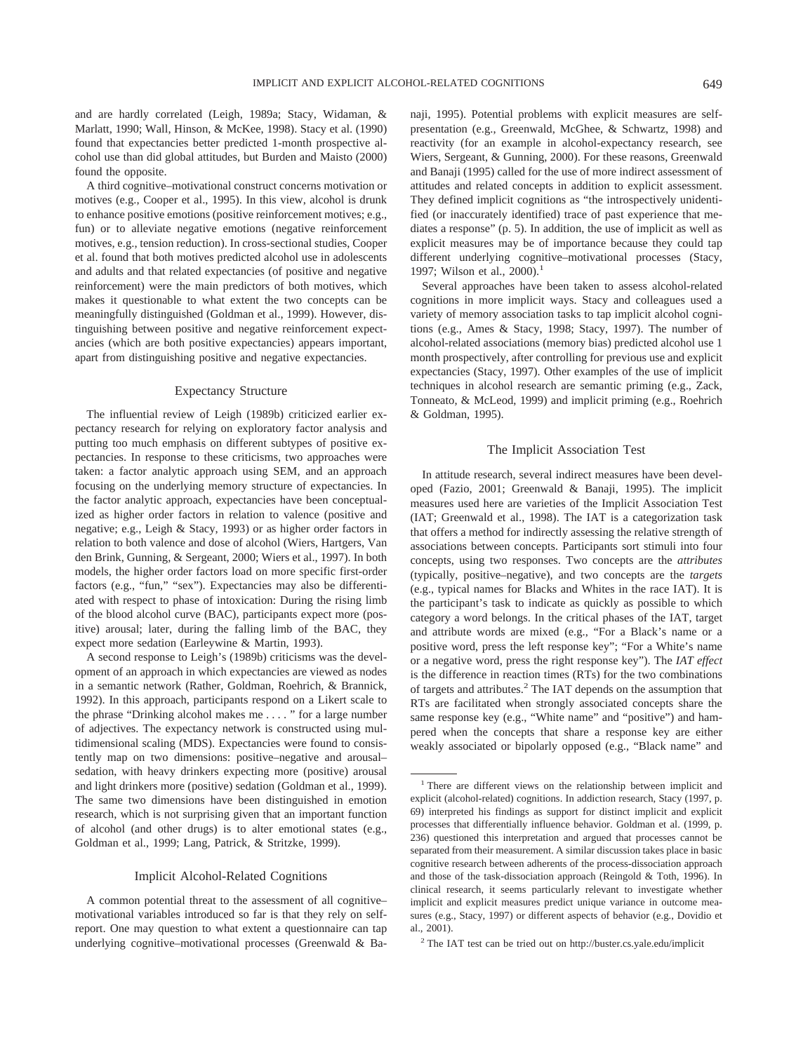and are hardly correlated (Leigh, 1989a; Stacy, Widaman, & Marlatt, 1990; Wall, Hinson, & McKee, 1998). Stacy et al. (1990) found that expectancies better predicted 1-month prospective alcohol use than did global attitudes, but Burden and Maisto (2000) found the opposite.

A third cognitive–motivational construct concerns motivation or motives (e.g., Cooper et al., 1995). In this view, alcohol is drunk to enhance positive emotions (positive reinforcement motives; e.g., fun) or to alleviate negative emotions (negative reinforcement motives, e.g., tension reduction). In cross-sectional studies, Cooper et al. found that both motives predicted alcohol use in adolescents and adults and that related expectancies (of positive and negative reinforcement) were the main predictors of both motives, which makes it questionable to what extent the two concepts can be meaningfully distinguished (Goldman et al., 1999). However, distinguishing between positive and negative reinforcement expectancies (which are both positive expectancies) appears important, apart from distinguishing positive and negative expectancies.

#### Expectancy Structure

The influential review of Leigh (1989b) criticized earlier expectancy research for relying on exploratory factor analysis and putting too much emphasis on different subtypes of positive expectancies. In response to these criticisms, two approaches were taken: a factor analytic approach using SEM, and an approach focusing on the underlying memory structure of expectancies. In the factor analytic approach, expectancies have been conceptualized as higher order factors in relation to valence (positive and negative; e.g., Leigh & Stacy, 1993) or as higher order factors in relation to both valence and dose of alcohol (Wiers, Hartgers, Van den Brink, Gunning, & Sergeant, 2000; Wiers et al., 1997). In both models, the higher order factors load on more specific first-order factors (e.g., "fun," "sex"). Expectancies may also be differentiated with respect to phase of intoxication: During the rising limb of the blood alcohol curve (BAC), participants expect more (positive) arousal; later, during the falling limb of the BAC, they expect more sedation (Earleywine & Martin, 1993).

A second response to Leigh's (1989b) criticisms was the development of an approach in which expectancies are viewed as nodes in a semantic network (Rather, Goldman, Roehrich, & Brannick, 1992). In this approach, participants respond on a Likert scale to the phrase "Drinking alcohol makes me.... " for a large number of adjectives. The expectancy network is constructed using multidimensional scaling (MDS). Expectancies were found to consistently map on two dimensions: positive–negative and arousal– sedation, with heavy drinkers expecting more (positive) arousal and light drinkers more (positive) sedation (Goldman et al., 1999). The same two dimensions have been distinguished in emotion research, which is not surprising given that an important function of alcohol (and other drugs) is to alter emotional states (e.g., Goldman et al., 1999; Lang, Patrick, & Stritzke, 1999).

#### Implicit Alcohol-Related Cognitions

A common potential threat to the assessment of all cognitive– motivational variables introduced so far is that they rely on selfreport. One may question to what extent a questionnaire can tap underlying cognitive–motivational processes (Greenwald & Banaji, 1995). Potential problems with explicit measures are selfpresentation (e.g., Greenwald, McGhee, & Schwartz, 1998) and reactivity (for an example in alcohol-expectancy research, see Wiers, Sergeant, & Gunning, 2000). For these reasons, Greenwald and Banaji (1995) called for the use of more indirect assessment of attitudes and related concepts in addition to explicit assessment. They defined implicit cognitions as "the introspectively unidentified (or inaccurately identified) trace of past experience that mediates a response" (p. 5). In addition, the use of implicit as well as explicit measures may be of importance because they could tap different underlying cognitive–motivational processes (Stacy, 1997; Wilson et al., 2000).<sup>1</sup>

Several approaches have been taken to assess alcohol-related cognitions in more implicit ways. Stacy and colleagues used a variety of memory association tasks to tap implicit alcohol cognitions (e.g., Ames & Stacy, 1998; Stacy, 1997). The number of alcohol-related associations (memory bias) predicted alcohol use 1 month prospectively, after controlling for previous use and explicit expectancies (Stacy, 1997). Other examples of the use of implicit techniques in alcohol research are semantic priming (e.g., Zack, Tonneato, & McLeod, 1999) and implicit priming (e.g., Roehrich & Goldman, 1995).

#### The Implicit Association Test

In attitude research, several indirect measures have been developed (Fazio, 2001; Greenwald & Banaji, 1995). The implicit measures used here are varieties of the Implicit Association Test (IAT; Greenwald et al., 1998). The IAT is a categorization task that offers a method for indirectly assessing the relative strength of associations between concepts. Participants sort stimuli into four concepts, using two responses. Two concepts are the *attributes* (typically, positive–negative), and two concepts are the *targets* (e.g., typical names for Blacks and Whites in the race IAT). It is the participant's task to indicate as quickly as possible to which category a word belongs. In the critical phases of the IAT, target and attribute words are mixed (e.g., "For a Black's name or a positive word, press the left response key"; "For a White's name or a negative word, press the right response key"). The *IAT effect* is the difference in reaction times (RTs) for the two combinations of targets and attributes.<sup>2</sup> The IAT depends on the assumption that RTs are facilitated when strongly associated concepts share the same response key (e.g., "White name" and "positive") and hampered when the concepts that share a response key are either weakly associated or bipolarly opposed (e.g., "Black name" and

<sup>&</sup>lt;sup>1</sup> There are different views on the relationship between implicit and explicit (alcohol-related) cognitions. In addiction research, Stacy (1997, p. 69) interpreted his findings as support for distinct implicit and explicit processes that differentially influence behavior. Goldman et al. (1999, p. 236) questioned this interpretation and argued that processes cannot be separated from their measurement. A similar discussion takes place in basic cognitive research between adherents of the process-dissociation approach and those of the task-dissociation approach (Reingold & Toth, 1996). In clinical research, it seems particularly relevant to investigate whether implicit and explicit measures predict unique variance in outcome measures (e.g., Stacy, 1997) or different aspects of behavior (e.g., Dovidio et al., 2001).

<sup>2</sup> The IAT test can be tried out on http://buster.cs.yale.edu/implicit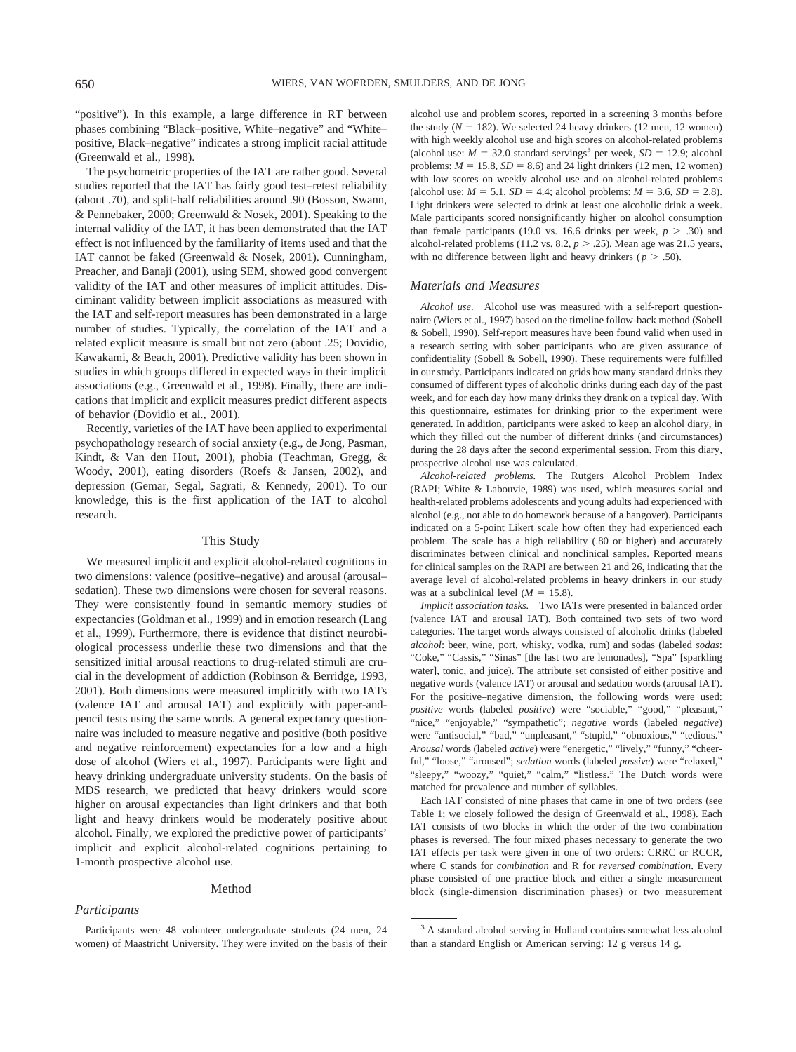"positive"). In this example, a large difference in RT between phases combining "Black–positive, White–negative" and "White– positive, Black–negative" indicates a strong implicit racial attitude (Greenwald et al., 1998).

The psychometric properties of the IAT are rather good. Several studies reported that the IAT has fairly good test–retest reliability (about .70), and split-half reliabilities around .90 (Bosson, Swann, & Pennebaker, 2000; Greenwald & Nosek, 2001). Speaking to the internal validity of the IAT, it has been demonstrated that the IAT effect is not influenced by the familiarity of items used and that the IAT cannot be faked (Greenwald & Nosek, 2001). Cunningham, Preacher, and Banaji (2001), using SEM, showed good convergent validity of the IAT and other measures of implicit attitudes. Disciminant validity between implicit associations as measured with the IAT and self-report measures has been demonstrated in a large number of studies. Typically, the correlation of the IAT and a related explicit measure is small but not zero (about .25; Dovidio, Kawakami, & Beach, 2001). Predictive validity has been shown in studies in which groups differed in expected ways in their implicit associations (e.g., Greenwald et al., 1998). Finally, there are indications that implicit and explicit measures predict different aspects of behavior (Dovidio et al., 2001).

Recently, varieties of the IAT have been applied to experimental psychopathology research of social anxiety (e.g., de Jong, Pasman, Kindt, & Van den Hout, 2001), phobia (Teachman, Gregg, & Woody, 2001), eating disorders (Roefs & Jansen, 2002), and depression (Gemar, Segal, Sagrati, & Kennedy, 2001). To our knowledge, this is the first application of the IAT to alcohol research.

#### This Study

We measured implicit and explicit alcohol-related cognitions in two dimensions: valence (positive–negative) and arousal (arousal– sedation). These two dimensions were chosen for several reasons. They were consistently found in semantic memory studies of expectancies (Goldman et al., 1999) and in emotion research (Lang et al., 1999). Furthermore, there is evidence that distinct neurobiological processess underlie these two dimensions and that the sensitized initial arousal reactions to drug-related stimuli are crucial in the development of addiction (Robinson & Berridge, 1993, 2001). Both dimensions were measured implicitly with two IATs (valence IAT and arousal IAT) and explicitly with paper-andpencil tests using the same words. A general expectancy questionnaire was included to measure negative and positive (both positive and negative reinforcement) expectancies for a low and a high dose of alcohol (Wiers et al., 1997). Participants were light and heavy drinking undergraduate university students. On the basis of MDS research, we predicted that heavy drinkers would score higher on arousal expectancies than light drinkers and that both light and heavy drinkers would be moderately positive about alcohol. Finally, we explored the predictive power of participants' implicit and explicit alcohol-related cognitions pertaining to 1-month prospective alcohol use.

#### Method

## *Participants*

alcohol use and problem scores, reported in a screening 3 months before the study  $(N = 182)$ . We selected 24 heavy drinkers  $(12 \text{ men}, 12 \text{ women})$ with high weekly alcohol use and high scores on alcohol-related problems (alcohol use:  $M = 32.0$  standard servings<sup>3</sup> per week,  $SD = 12.9$ ; alcohol problems:  $M = 15.8$ ,  $SD = 8.6$ ) and 24 light drinkers (12 men, 12 women) with low scores on weekly alcohol use and on alcohol-related problems (alcohol use:  $M = 5.1$ ,  $SD = 4.4$ ; alcohol problems:  $M = 3.6$ ,  $SD = 2.8$ ). Light drinkers were selected to drink at least one alcoholic drink a week. Male participants scored nonsignificantly higher on alcohol consumption than female participants (19.0 vs. 16.6 drinks per week,  $p > .30$ ) and alcohol-related problems (11.2 vs.  $8.2, p > .25$ ). Mean age was 21.5 years, with no difference between light and heavy drinkers ( $p > .50$ ).

#### *Materials and Measures*

*Alcohol use.* Alcohol use was measured with a self-report questionnaire (Wiers et al., 1997) based on the timeline follow-back method (Sobell & Sobell, 1990). Self-report measures have been found valid when used in a research setting with sober participants who are given assurance of confidentiality (Sobell & Sobell, 1990). These requirements were fulfilled in our study. Participants indicated on grids how many standard drinks they consumed of different types of alcoholic drinks during each day of the past week, and for each day how many drinks they drank on a typical day. With this questionnaire, estimates for drinking prior to the experiment were generated. In addition, participants were asked to keep an alcohol diary, in which they filled out the number of different drinks (and circumstances) during the 28 days after the second experimental session. From this diary, prospective alcohol use was calculated.

*Alcohol-related problems.* The Rutgers Alcohol Problem Index (RAPI; White & Labouvie, 1989) was used, which measures social and health-related problems adolescents and young adults had experienced with alcohol (e.g., not able to do homework because of a hangover). Participants indicated on a 5-point Likert scale how often they had experienced each problem. The scale has a high reliability (.80 or higher) and accurately discriminates between clinical and nonclinical samples. Reported means for clinical samples on the RAPI are between 21 and 26, indicating that the average level of alcohol-related problems in heavy drinkers in our study was at a subclinical level  $(M = 15.8)$ .

*Implicit association tasks.* Two IATs were presented in balanced order (valence IAT and arousal IAT). Both contained two sets of two word categories. The target words always consisted of alcoholic drinks (labeled *alcohol*: beer, wine, port, whisky, vodka, rum) and sodas (labeled *sodas*: "Coke," "Cassis," "Sinas" [the last two are lemonades], "Spa" [sparkling water], tonic, and juice). The attribute set consisted of either positive and negative words (valence IAT) or arousal and sedation words (arousal IAT). For the positive–negative dimension, the following words were used: *positive* words (labeled *positive*) were "sociable," "good," "pleasant," "nice," "enjoyable," "sympathetic"; *negative* words (labeled *negative*) were "antisocial," "bad," "unpleasant," "stupid," "obnoxious," "tedious." *Arousal* words (labeled *active*) were "energetic," "lively," "funny," "cheerful," "loose," "aroused"; *sedation* words (labeled *passive*) were "relaxed," "sleepy," "woozy," "quiet," "calm," "listless." The Dutch words were matched for prevalence and number of syllables.

Each IAT consisted of nine phases that came in one of two orders (see Table 1; we closely followed the design of Greenwald et al., 1998). Each IAT consists of two blocks in which the order of the two combination phases is reversed. The four mixed phases necessary to generate the two IAT effects per task were given in one of two orders: CRRC or RCCR, where C stands for *combination* and R for *reversed combination*. Every phase consisted of one practice block and either a single measurement block (single-dimension discrimination phases) or two measurement

Participants were 48 volunteer undergraduate students (24 men, 24 women) of Maastricht University. They were invited on the basis of their

<sup>&</sup>lt;sup>3</sup> A standard alcohol serving in Holland contains somewhat less alcohol than a standard English or American serving: 12 g versus 14 g.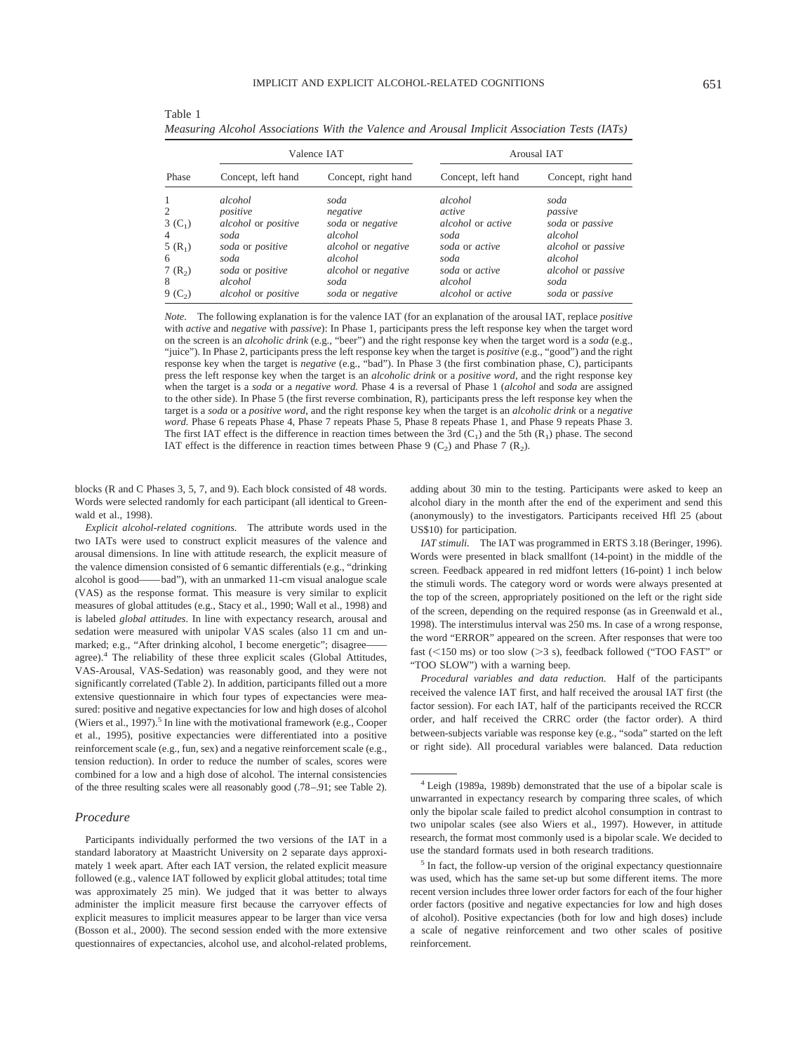*Measuring Alcohol Associations With the Valence and Arousal Implicit Association Tests (IATs)*

| v<br>٠                                    |  |
|-------------------------------------------|--|
| ۰.<br>I<br>۰,<br>×<br>M.<br>v.<br>۰,<br>٧ |  |
|                                           |  |

|                |                     | Valence IAT         | Arousal IAT        |                     |  |  |
|----------------|---------------------|---------------------|--------------------|---------------------|--|--|
| Phase          | Concept, left hand  | Concept, right hand | Concept, left hand | Concept, right hand |  |  |
| $\overline{1}$ | alcohol             | soda                | alcohol            | soda                |  |  |
| 2              | positive            | negative            | active             | passive             |  |  |
| $3(C_1)$       | alcohol or positive | soda or negative    | alcohol or active  | soda or passive     |  |  |
| $\overline{4}$ | soda                | alcohol             | soda               | alcohol             |  |  |
| $5(R_1)$       | soda or positive    | alcohol or negative | soda or active     | alcohol or passive  |  |  |
| 6              | soda                | alcohol             | soda               | alcohol             |  |  |
| $7(R_2)$       | soda or positive    | alcohol or negative | soda or active     | alcohol or passive  |  |  |
| 8              | alcohol             | soda                | alcohol            | soda                |  |  |
| $9(C_{2})$     | alcohol or positive | soda or negative    | alcohol or active  | soda or passive     |  |  |

*Note.* The following explanation is for the valence IAT (for an explanation of the arousal IAT, replace *positive* with *active* and *negative* with *passive*): In Phase 1, participants press the left response key when the target word on the screen is an *alcoholic drink* (e.g., "beer") and the right response key when the target word is a *soda* (e.g., "juice"). In Phase 2, participants press the left response key when the target is *positive* (e.g., "good") and the right response key when the target is *negative* (e.g., "bad"). In Phase 3 (the first combination phase, C), participants press the left response key when the target is an *alcoholic drink* or a *positive word*, and the right response key

when the target is a *soda* or a *negative word.* Phase 4 is a reversal of Phase 1 (*alcohol* and *soda* are assigned to the other side). In Phase 5 (the first reverse combination, R), participants press the left response key when the target is a *soda* or a *positive word*, and the right response key when the target is an *alcoholic drink* or a *negative word.* Phase 6 repeats Phase 4, Phase 7 repeats Phase 5, Phase 8 repeats Phase 1, and Phase 9 repeats Phase 3. The first IAT effect is the difference in reaction times between the 3rd  $(C_1)$  and the 5th  $(R_1)$  phase. The second IAT effect is the difference in reaction times between Phase 9  $(C_2)$  and Phase 7  $(R_2)$ .

blocks (R and C Phases 3, 5, 7, and 9). Each block consisted of 48 words. Words were selected randomly for each participant (all identical to Greenwald et al., 1998).

Table 1

*Explicit alcohol-related cognitions.* The attribute words used in the two IATs were used to construct explicit measures of the valence and arousal dimensions. In line with attitude research, the explicit measure of the valence dimension consisted of 6 semantic differentials (e.g., "drinking alcohol is good——bad"), with an unmarked 11-cm visual analogue scale (VAS) as the response format. This measure is very similar to explicit measures of global attitudes (e.g., Stacy et al., 1990; Wall et al., 1998) and is labeled *global attitudes*. In line with expectancy research, arousal and sedation were measured with unipolar VAS scales (also 11 cm and unmarked; e.g., "After drinking alcohol, I become energetic"; disagreeagree).<sup>4</sup> The reliability of these three explicit scales (Global Attitudes, VAS-Arousal, VAS-Sedation) was reasonably good, and they were not significantly correlated (Table 2). In addition, participants filled out a more extensive questionnaire in which four types of expectancies were measured: positive and negative expectancies for low and high doses of alcohol (Wiers et al., 1997).<sup>5</sup> In line with the motivational framework (e.g., Cooper et al., 1995), positive expectancies were differentiated into a positive reinforcement scale (e.g., fun, sex) and a negative reinforcement scale (e.g., tension reduction). In order to reduce the number of scales, scores were combined for a low and a high dose of alcohol. The internal consistencies of the three resulting scales were all reasonably good (.78–.91; see Table 2).

## *Procedure*

Participants individually performed the two versions of the IAT in a standard laboratory at Maastricht University on 2 separate days approximately 1 week apart. After each IAT version, the related explicit measure followed (e.g., valence IAT followed by explicit global attitudes; total time was approximately 25 min). We judged that it was better to always administer the implicit measure first because the carryover effects of explicit measures to implicit measures appear to be larger than vice versa (Bosson et al., 2000). The second session ended with the more extensive questionnaires of expectancies, alcohol use, and alcohol-related problems,

adding about 30 min to the testing. Participants were asked to keep an alcohol diary in the month after the end of the experiment and send this (anonymously) to the investigators. Participants received Hfl 25 (about US\$10) for participation.

*IAT stimuli.* The IAT was programmed in ERTS 3.18 (Beringer, 1996). Words were presented in black smallfont (14-point) in the middle of the screen. Feedback appeared in red midfont letters (16-point) 1 inch below the stimuli words. The category word or words were always presented at the top of the screen, appropriately positioned on the left or the right side of the screen, depending on the required response (as in Greenwald et al., 1998). The interstimulus interval was 250 ms. In case of a wrong response, the word "ERROR" appeared on the screen. After responses that were too fast (<150 ms) or too slow (>3 s), feedback followed ("TOO FAST" or "TOO SLOW") with a warning beep.

*Procedural variables and data reduction.* Half of the participants received the valence IAT first, and half received the arousal IAT first (the factor session). For each IAT, half of the participants received the RCCR order, and half received the CRRC order (the factor order). A third between-subjects variable was response key (e.g., "soda" started on the left or right side). All procedural variables were balanced. Data reduction

<sup>4</sup> Leigh (1989a, 1989b) demonstrated that the use of a bipolar scale is unwarranted in expectancy research by comparing three scales, of which only the bipolar scale failed to predict alcohol consumption in contrast to two unipolar scales (see also Wiers et al., 1997). However, in attitude research, the format most commonly used is a bipolar scale. We decided to use the standard formats used in both research traditions.

<sup>5</sup> In fact, the follow-up version of the original expectancy questionnaire was used, which has the same set-up but some different items. The more recent version includes three lower order factors for each of the four higher order factors (positive and negative expectancies for low and high doses of alcohol). Positive expectancies (both for low and high doses) include a scale of negative reinforcement and two other scales of positive reinforcement.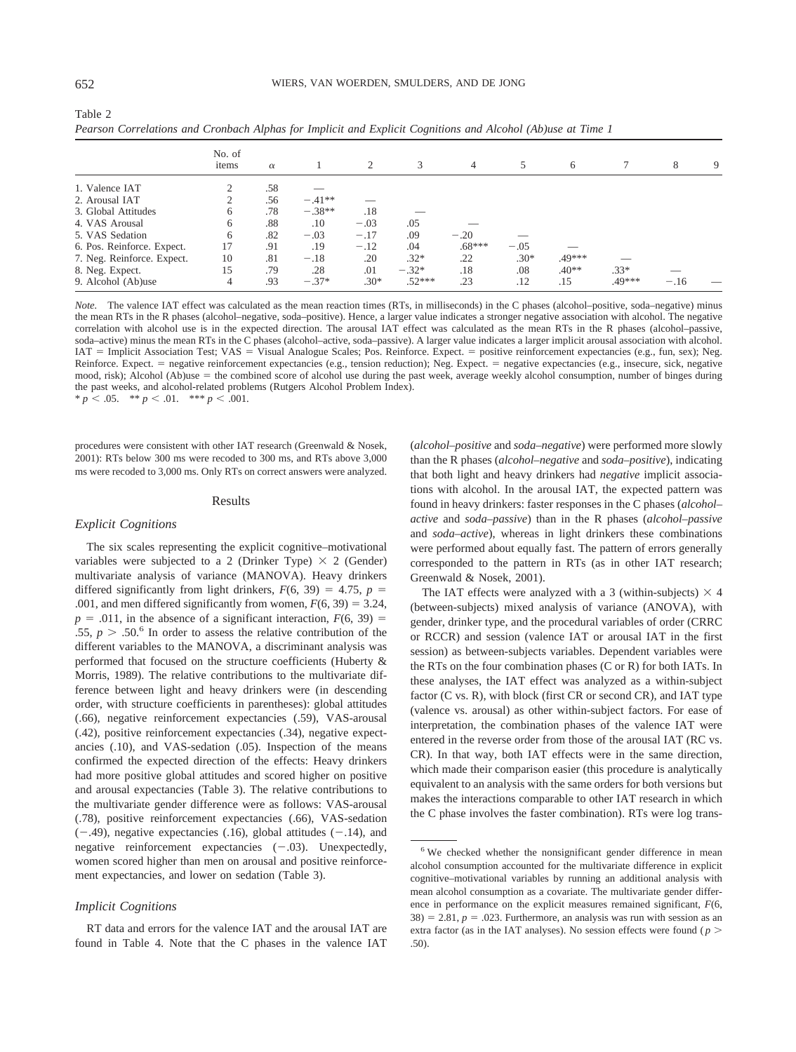Table 2

|                            | No. of<br>items | $\alpha$ |          | 2      | 3        | 4        | 5      | 6       |        | 8      | 9 |
|----------------------------|-----------------|----------|----------|--------|----------|----------|--------|---------|--------|--------|---|
| 1. Valence IAT             |                 | .58      |          |        |          |          |        |         |        |        |   |
| 2. Arousal IAT             |                 | .56      | $-.41**$ |        |          |          |        |         |        |        |   |
| 3. Global Attitudes        | 6               | .78      | $-.38**$ | .18    |          |          |        |         |        |        |   |
| 4. VAS Arousal             | 6               | .88      | .10      | $-.03$ | .05      |          |        |         |        |        |   |
| 5. VAS Sedation            | 6               | .82      | $-.03$   | $-.17$ | .09      | $-.20$   |        |         |        |        |   |
| 6. Pos. Reinforce. Expect. | 17              | .91      | .19      | $-.12$ | .04      | $.68***$ | $-.05$ |         |        |        |   |
| 7. Neg. Reinforce. Expect. | 10              | .81      | $-.18$   | .20    | $.32*$   | .22      | $.30*$ | .49***  |        |        |   |
| 8. Neg. Expect.            | 15              | .79      | .28      | .01    | $-.32*$  | .18      | .08    | $.40**$ | $.33*$ |        |   |
| 9. Alcohol (Ab)use         | 4               | .93      | $-.37*$  | $.30*$ | $.52***$ | .23      | .12    | .15     | .49*** | $-.16$ |   |

*Pearson Correlations and Cronbach Alphas for Implicit and Explicit Cognitions and Alcohol (Ab)use at Time 1*

*Note.* The valence IAT effect was calculated as the mean reaction times (RTs, in milliseconds) in the C phases (alcohol–positive, soda–negative) minus the mean RTs in the R phases (alcohol–negative, soda–positive). Hence, a larger value indicates a stronger negative association with alcohol. The negative correlation with alcohol use is in the expected direction. The arousal IAT effect was calculated as the mean RTs in the R phases (alcohol–passive, soda–active) minus the mean RTs in the C phases (alcohol–active, soda–passive). A larger value indicates a larger implicit arousal association with alcohol. IAT = Implicit Association Test; VAS = Visual Analogue Scales; Pos. Reinforce. Expect. = positive reinforcement expectancies (e.g., fun, sex); Neg. Reinforce. Expect. = negative reinforcement expectancies (e.g., tension reduction); Neg. Expect. = negative expectancies (e.g., insecure, sick, negative mood, risk); Alcohol (Ab)use = the combined score of alcohol use during the past week, average weekly alcohol consumption, number of binges during the past weeks, and alcohol-related problems (Rutgers Alcohol Problem Index).  $* p < .05.$  \*\*  $p < .01.$  \*\*\*  $p < .001.$ 

procedures were consistent with other IAT research (Greenwald & Nosek, 2001): RTs below 300 ms were recoded to 300 ms, and RTs above 3,000 ms were recoded to 3,000 ms. Only RTs on correct answers were analyzed.

#### Results

#### *Explicit Cognitions*

The six scales representing the explicit cognitive–motivational variables were subjected to a 2 (Drinker Type)  $\times$  2 (Gender) multivariate analysis of variance (MANOVA). Heavy drinkers differed significantly from light drinkers,  $F(6, 39) = 4.75$ ,  $p =$ .001, and men differed significantly from women,  $F(6, 39) = 3.24$ ,  $p = .011$ , in the absence of a significant interaction,  $F(6, 39) =$ .55,  $p > .50$ .<sup>6</sup> In order to assess the relative contribution of the different variables to the MANOVA, a discriminant analysis was performed that focused on the structure coefficients (Huberty & Morris, 1989). The relative contributions to the multivariate difference between light and heavy drinkers were (in descending order, with structure coefficients in parentheses): global attitudes (.66), negative reinforcement expectancies (.59), VAS-arousal (.42), positive reinforcement expectancies (.34), negative expectancies (.10), and VAS-sedation (.05). Inspection of the means confirmed the expected direction of the effects: Heavy drinkers had more positive global attitudes and scored higher on positive and arousal expectancies (Table 3). The relative contributions to the multivariate gender difference were as follows: VAS-arousal (.78), positive reinforcement expectancies (.66), VAS-sedation  $(-.49)$ , negative expectancies  $(.16)$ , global attitudes  $(-.14)$ , and negative reinforcement expectancies  $(-.03)$ . Unexpectedly, women scored higher than men on arousal and positive reinforcement expectancies, and lower on sedation (Table 3).

#### *Implicit Cognitions*

RT data and errors for the valence IAT and the arousal IAT are found in Table 4. Note that the C phases in the valence IAT

(*alcohol–positive* and *soda–negative*) were performed more slowly than the R phases (*alcohol–negative* and *soda–positive*), indicating that both light and heavy drinkers had *negative* implicit associations with alcohol. In the arousal IAT, the expected pattern was found in heavy drinkers: faster responses in the C phases (*alcohol– active* and *soda–passive*) than in the R phases (*alcohol–passive* and *soda–active*), whereas in light drinkers these combinations were performed about equally fast. The pattern of errors generally corresponded to the pattern in RTs (as in other IAT research; Greenwald & Nosek, 2001).

The IAT effects were analyzed with a 3 (within-subjects)  $\times$  4 (between-subjects) mixed analysis of variance (ANOVA), with gender, drinker type, and the procedural variables of order (CRRC or RCCR) and session (valence IAT or arousal IAT in the first session) as between-subjects variables. Dependent variables were the RTs on the four combination phases (C or R) for both IATs. In these analyses, the IAT effect was analyzed as a within-subject factor (C vs. R), with block (first CR or second CR), and IAT type (valence vs. arousal) as other within-subject factors. For ease of interpretation, the combination phases of the valence IAT were entered in the reverse order from those of the arousal IAT (RC vs. CR). In that way, both IAT effects were in the same direction, which made their comparison easier (this procedure is analytically equivalent to an analysis with the same orders for both versions but makes the interactions comparable to other IAT research in which the C phase involves the faster combination). RTs were log trans-

<sup>6</sup> We checked whether the nonsignificant gender difference in mean alcohol consumption accounted for the multivariate difference in explicit cognitive–motivational variables by running an additional analysis with mean alcohol consumption as a covariate. The multivariate gender difference in performance on the explicit measures remained significant, *F*(6,  $38$ ) = 2.81,  $p = .023$ . Furthermore, an analysis was run with session as an extra factor (as in the IAT analyses). No session effects were found ( $p >$ .50).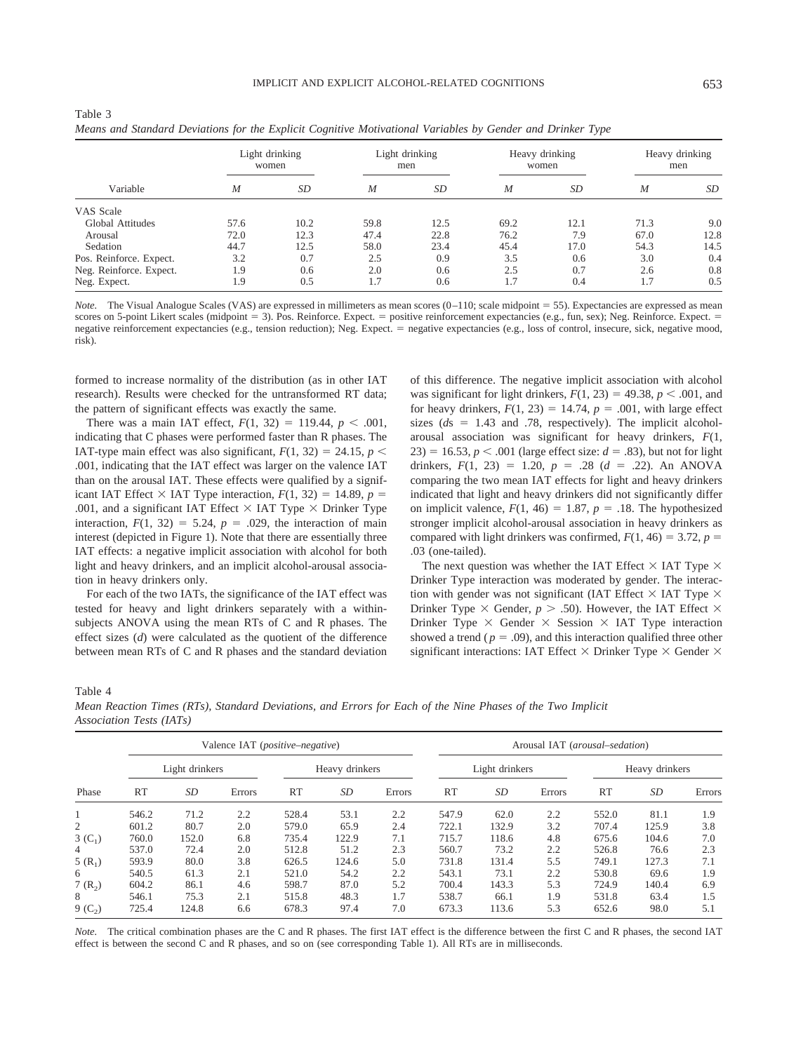|                         | Light drinking<br>women |      | Light drinking<br>men |      | Heavy drinking<br>women |      | Heavy drinking<br>men |      |
|-------------------------|-------------------------|------|-----------------------|------|-------------------------|------|-----------------------|------|
| Variable                | $\boldsymbol{M}$        | SD   | $\boldsymbol{M}$      | SD   | $\boldsymbol{M}$        | SD   | $\boldsymbol{M}$      | SD   |
| VAS Scale               |                         |      |                       |      |                         |      |                       |      |
| Global Attitudes        | 57.6                    | 10.2 | 59.8                  | 12.5 | 69.2                    | 12.1 | 71.3                  | 9.0  |
| Arousal                 | 72.0                    | 12.3 | 47.4                  | 22.8 | 76.2                    | 7.9  | 67.0                  | 12.8 |
| Sedation                | 44.7                    | 12.5 | 58.0                  | 23.4 | 45.4                    | 17.0 | 54.3                  | 14.5 |
| Pos. Reinforce. Expect. | 3.2                     | 0.7  | 2.5                   | 0.9  | 3.5                     | 0.6  | 3.0                   | 0.4  |
| Neg. Reinforce. Expect. | 1.9                     | 0.6  | 2.0                   | 0.6  | 2.5                     | 0.7  | 2.6                   | 0.8  |
| Neg. Expect.            | 1.9                     | 0.5  | 1.7                   | 0.6  | 1.7                     | 0.4  | 1.7                   | 0.5  |

| Table 3                                                                                                    |  |  |  |
|------------------------------------------------------------------------------------------------------------|--|--|--|
| Means and Standard Deviations for the Explicit Cognitive Motivational Variables by Gender and Drinker Type |  |  |  |

*Note.* The Visual Analogue Scales (VAS) are expressed in millimeters as mean scores (0-110; scale midpoint = 55). Expectancies are expressed as mean scores on 5-point Likert scales (midpoint = 3). Pos. Reinforce. Expect. = positive reinforcement expectancies (e.g., fun, sex); Neg. Reinforce. Expect. = negative reinforcement expectancies (e.g., tension reduction); Neg. Expect. = negative expectancies (e.g., loss of control, insecure, sick, negative mood, risk).

formed to increase normality of the distribution (as in other IAT research). Results were checked for the untransformed RT data; the pattern of significant effects was exactly the same.

There was a main IAT effect,  $F(1, 32) = 119.44$ ,  $p < .001$ , indicating that C phases were performed faster than R phases. The IAT-type main effect was also significant,  $F(1, 32) = 24.15$ ,  $p \le$ .001, indicating that the IAT effect was larger on the valence IAT than on the arousal IAT. These effects were qualified by a significant IAT Effect  $\times$  IAT Type interaction,  $F(1, 32) = 14.89$ ,  $p =$ .001, and a significant IAT Effect  $\times$  IAT Type  $\times$  Drinker Type interaction,  $F(1, 32) = 5.24$ ,  $p = .029$ , the interaction of main interest (depicted in Figure 1). Note that there are essentially three IAT effects: a negative implicit association with alcohol for both light and heavy drinkers, and an implicit alcohol-arousal association in heavy drinkers only.

For each of the two IATs, the significance of the IAT effect was tested for heavy and light drinkers separately with a withinsubjects ANOVA using the mean RTs of C and R phases. The effect sizes (*d*) were calculated as the quotient of the difference between mean RTs of C and R phases and the standard deviation of this difference. The negative implicit association with alcohol was significant for light drinkers,  $F(1, 23) = 49.38$ ,  $p < .001$ , and for heavy drinkers,  $F(1, 23) = 14.74$ ,  $p = .001$ , with large effect sizes  $(ds = 1.43$  and .78, respectively). The implicit alcoholarousal association was significant for heavy drinkers, *F*(1, 23) = 16.53,  $p < .001$  (large effect size:  $d = .83$ ), but not for light drinkers,  $F(1, 23) = 1.20$ ,  $p = .28$  ( $d = .22$ ). An ANOVA comparing the two mean IAT effects for light and heavy drinkers indicated that light and heavy drinkers did not significantly differ on implicit valence,  $F(1, 46) = 1.87$ ,  $p = .18$ . The hypothesized stronger implicit alcohol-arousal association in heavy drinkers as compared with light drinkers was confirmed,  $F(1, 46) = 3.72$ ,  $p =$ .03 (one-tailed).

The next question was whether the IAT Effect  $\times$  IAT Type  $\times$ Drinker Type interaction was moderated by gender. The interaction with gender was not significant (IAT Effect  $\times$  IAT Type  $\times$ Drinker Type  $\times$  Gender,  $p > .50$ ). However, the IAT Effect  $\times$ Drinker Type  $\times$  Gender  $\times$  Session  $\times$  IAT Type interaction showed a trend ( $p = .09$ ), and this interaction qualified three other significant interactions: IAT Effect  $\times$  Drinker Type  $\times$  Gender  $\times$ 

Table 4

*Mean Reaction Times (RTs), Standard Deviations, and Errors for Each of the Nine Phases of the Two Implicit Association Tests (IATs)*

|            |                | Valence IAT ( <i>positive–negative</i> ) |        |                |       |        |                |           | Arousal IAT (arousal–sedation) |                |       |        |  |  |
|------------|----------------|------------------------------------------|--------|----------------|-------|--------|----------------|-----------|--------------------------------|----------------|-------|--------|--|--|
|            | Light drinkers |                                          |        | Heavy drinkers |       |        | Light drinkers |           |                                | Heavy drinkers |       |        |  |  |
| Phase      | <b>RT</b>      | SD                                       | Errors | RT             | SD    | Errors | <b>RT</b>      | <i>SD</i> | Errors                         | RT             | SD    | Errors |  |  |
|            | 546.2          | 71.2                                     | 2.2    | 528.4          | 53.1  | 2.2    | 547.9          | 62.0      | 2.2                            | 552.0          | 81.1  | 1.9    |  |  |
| 2          | 601.2          | 80.7                                     | 2.0    | 579.0          | 65.9  | 2.4    | 722.1          | 132.9     | 3.2                            | 707.4          | 125.9 | 3.8    |  |  |
| 3 $(C_1)$  | 760.0          | 152.0                                    | 6.8    | 735.4          | 122.9 | 7.1    | 715.7          | 118.6     | 4.8                            | 675.6          | 104.6 | 7.0    |  |  |
| 4          | 537.0          | 72.4                                     | 2.0    | 512.8          | 51.2  | 2.3    | 560.7          | 73.2      | 2.2                            | 526.8          | 76.6  | 2.3    |  |  |
| 5 $(R_1)$  | 593.9          | 80.0                                     | 3.8    | 626.5          | 124.6 | 5.0    | 731.8          | 131.4     | 5.5                            | 749.1          | 127.3 | 7.1    |  |  |
| 6          | 540.5          | 61.3                                     | 2.1    | 521.0          | 54.2  | 2.2    | 543.1          | 73.1      | 2.2                            | 530.8          | 69.6  | 1.9    |  |  |
| $7(R_2)$   | 604.2          | 86.1                                     | 4.6    | 598.7          | 87.0  | 5.2    | 700.4          | 143.3     | 5.3                            | 724.9          | 140.4 | 6.9    |  |  |
| 8          | 546.1          | 75.3                                     | 2.1    | 515.8          | 48.3  | 1.7    | 538.7          | 66.1      | 1.9                            | 531.8          | 63.4  | 1.5    |  |  |
| $9(C_{2})$ | 725.4          | 124.8                                    | 6.6    | 678.3          | 97.4  | 7.0    | 673.3          | 113.6     | 5.3                            | 652.6          | 98.0  | 5.1    |  |  |

*Note.* The critical combination phases are the C and R phases. The first IAT effect is the difference between the first C and R phases, the second IAT effect is between the second C and R phases, and so on (see corresponding Table 1). All RTs are in milliseconds.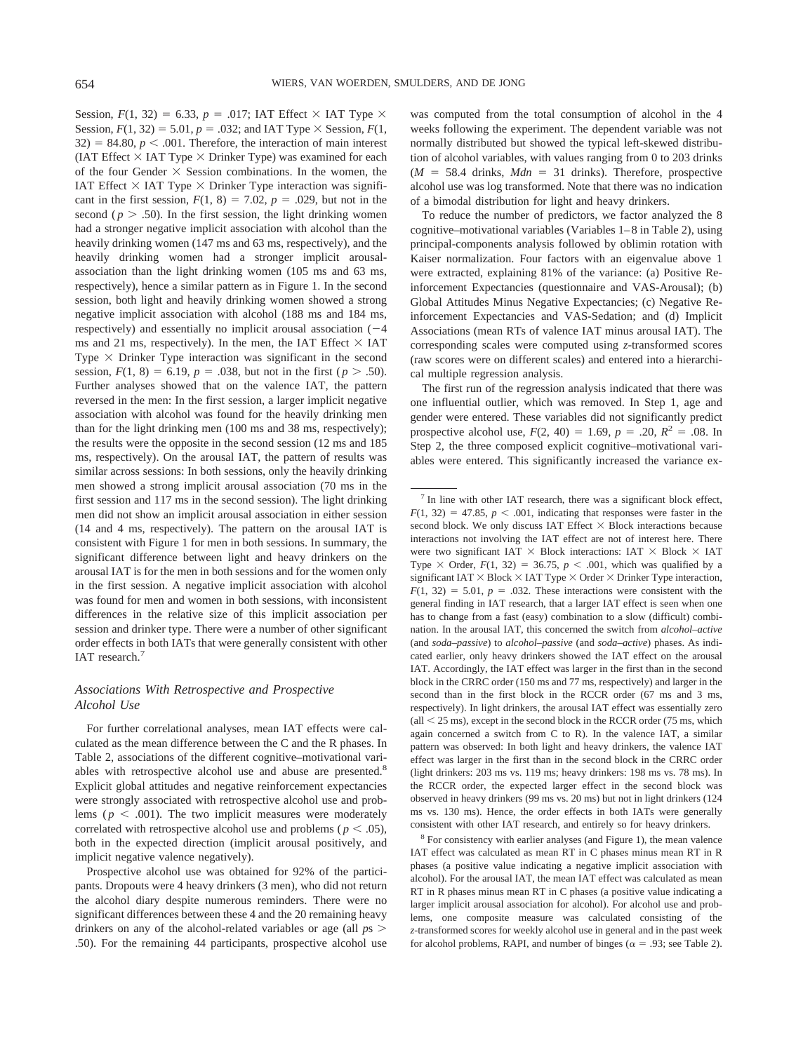Session,  $F(1, 32) = 6.33$ ,  $p = .017$ ; IAT Effect  $\times$  IAT Type  $\times$ Session,  $F(1, 32) = 5.01$ ,  $p = .032$ ; and IAT Type  $\times$  Session,  $F(1, 32) = 5.01$ ,  $p = .032$ ; and IAT Type  $\times$  Session,  $F(1, 32) = 5.01$ ,  $p = .032$ ; and IAT Type  $\times$  Session,  $F(1, 32) = 5.01$ ,  $p = .032$ ; and IAT Type  $\times$  S  $32$ ) = 84.80,  $p < .001$ . Therefore, the interaction of main interest (IAT Effect  $\times$  IAT Type  $\times$  Drinker Type) was examined for each of the four Gender  $\times$  Session combinations. In the women, the IAT Effect  $\times$  IAT Type  $\times$  Drinker Type interaction was significant in the first session,  $F(1, 8) = 7.02$ ,  $p = .029$ , but not in the second ( $p > .50$ ). In the first session, the light drinking women had a stronger negative implicit association with alcohol than the heavily drinking women (147 ms and 63 ms, respectively), and the heavily drinking women had a stronger implicit arousalassociation than the light drinking women (105 ms and 63 ms, respectively), hence a similar pattern as in Figure 1. In the second session, both light and heavily drinking women showed a strong negative implicit association with alcohol (188 ms and 184 ms, respectively) and essentially no implicit arousal association  $(-4)$ ms and 21 ms, respectively). In the men, the IAT Effect  $\times$  IAT Type  $\times$  Drinker Type interaction was significant in the second session,  $F(1, 8) = 6.19$ ,  $p = .038$ , but not in the first ( $p > .50$ ). Further analyses showed that on the valence IAT, the pattern reversed in the men: In the first session, a larger implicit negative association with alcohol was found for the heavily drinking men than for the light drinking men (100 ms and 38 ms, respectively); the results were the opposite in the second session (12 ms and 185 ms, respectively). On the arousal IAT, the pattern of results was similar across sessions: In both sessions, only the heavily drinking men showed a strong implicit arousal association (70 ms in the first session and 117 ms in the second session). The light drinking men did not show an implicit arousal association in either session (14 and 4 ms, respectively). The pattern on the arousal IAT is consistent with Figure 1 for men in both sessions. In summary, the significant difference between light and heavy drinkers on the arousal IAT is for the men in both sessions and for the women only in the first session. A negative implicit association with alcohol was found for men and women in both sessions, with inconsistent differences in the relative size of this implicit association per session and drinker type. There were a number of other significant order effects in both IATs that were generally consistent with other IAT research.<sup>7</sup>

## *Associations With Retrospective and Prospective Alcohol Use*

For further correlational analyses, mean IAT effects were calculated as the mean difference between the C and the R phases. In Table 2, associations of the different cognitive–motivational variables with retrospective alcohol use and abuse are presented.<sup>8</sup> Explicit global attitudes and negative reinforcement expectancies were strongly associated with retrospective alcohol use and problems ( $p < .001$ ). The two implicit measures were moderately correlated with retrospective alcohol use and problems ( $p < .05$ ), both in the expected direction (implicit arousal positively, and implicit negative valence negatively).

Prospective alcohol use was obtained for 92% of the participants. Dropouts were 4 heavy drinkers (3 men), who did not return the alcohol diary despite numerous reminders. There were no significant differences between these 4 and the 20 remaining heavy drinkers on any of the alcohol-related variables or age (all *p*s - .50). For the remaining 44 participants, prospective alcohol use was computed from the total consumption of alcohol in the 4 weeks following the experiment. The dependent variable was not normally distributed but showed the typical left-skewed distribution of alcohol variables, with values ranging from 0 to 203 drinks  $(M = 58.4$  drinks,  $Mdn = 31$  drinks). Therefore, prospective alcohol use was log transformed. Note that there was no indication of a bimodal distribution for light and heavy drinkers.

To reduce the number of predictors, we factor analyzed the 8 cognitive–motivational variables (Variables 1–8 in Table 2), using principal-components analysis followed by oblimin rotation with Kaiser normalization. Four factors with an eigenvalue above 1 were extracted, explaining 81% of the variance: (a) Positive Reinforcement Expectancies (questionnaire and VAS-Arousal); (b) Global Attitudes Minus Negative Expectancies; (c) Negative Reinforcement Expectancies and VAS-Sedation; and (d) Implicit Associations (mean RTs of valence IAT minus arousal IAT). The corresponding scales were computed using *z*-transformed scores (raw scores were on different scales) and entered into a hierarchical multiple regression analysis.

The first run of the regression analysis indicated that there was one influential outlier, which was removed. In Step 1, age and gender were entered. These variables did not significantly predict prospective alcohol use,  $F(2, 40) = 1.69$ ,  $p = .20$ ,  $R^2 = .08$ . In Step 2, the three composed explicit cognitive–motivational variables were entered. This significantly increased the variance ex-

<sup>8</sup> For consistency with earlier analyses (and Figure 1), the mean valence IAT effect was calculated as mean RT in C phases minus mean RT in R phases (a positive value indicating a negative implicit association with alcohol). For the arousal IAT, the mean IAT effect was calculated as mean RT in R phases minus mean RT in C phases (a positive value indicating a larger implicit arousal association for alcohol). For alcohol use and problems, one composite measure was calculated consisting of the *z*-transformed scores for weekly alcohol use in general and in the past week for alcohol problems, RAPI, and number of binges ( $\alpha$  = .93; see Table 2).

 $7$  In line with other IAT research, there was a significant block effect,  $F(1, 32) = 47.85$ ,  $p < .001$ , indicating that responses were faster in the second block. We only discuss IAT Effect  $\times$  Block interactions because interactions not involving the IAT effect are not of interest here. There were two significant IAT  $\times$  Block interactions: IAT  $\times$  Block  $\times$  IAT Type  $\times$  Order,  $F(1, 32) = 36.75$ ,  $p < .001$ , which was qualified by a significant  $IAT \times Block \times IAT$  Type  $\times$  Order  $\times$  Drinker Type interaction,  $F(1, 32) = 5.01$ ,  $p = .032$ . These interactions were consistent with the general finding in IAT research, that a larger IAT effect is seen when one has to change from a fast (easy) combination to a slow (difficult) combination. In the arousal IAT, this concerned the switch from *alcohol–active* (and *soda–passive*) to *alcohol–passive* (and *soda–active*) phases. As indicated earlier, only heavy drinkers showed the IAT effect on the arousal IAT. Accordingly, the IAT effect was larger in the first than in the second block in the CRRC order (150 ms and 77 ms, respectively) and larger in the second than in the first block in the RCCR order (67 ms and 3 ms, respectively). In light drinkers, the arousal IAT effect was essentially zero  $\text{(all} < 25 \text{ ms})$ , except in the second block in the RCCR order (75 ms, which again concerned a switch from C to R). In the valence IAT, a similar pattern was observed: In both light and heavy drinkers, the valence IAT effect was larger in the first than in the second block in the CRRC order (light drinkers: 203 ms vs. 119 ms; heavy drinkers: 198 ms vs. 78 ms). In the RCCR order, the expected larger effect in the second block was observed in heavy drinkers (99 ms vs. 20 ms) but not in light drinkers (124 ms vs. 130 ms). Hence, the order effects in both IATs were generally consistent with other IAT research, and entirely so for heavy drinkers.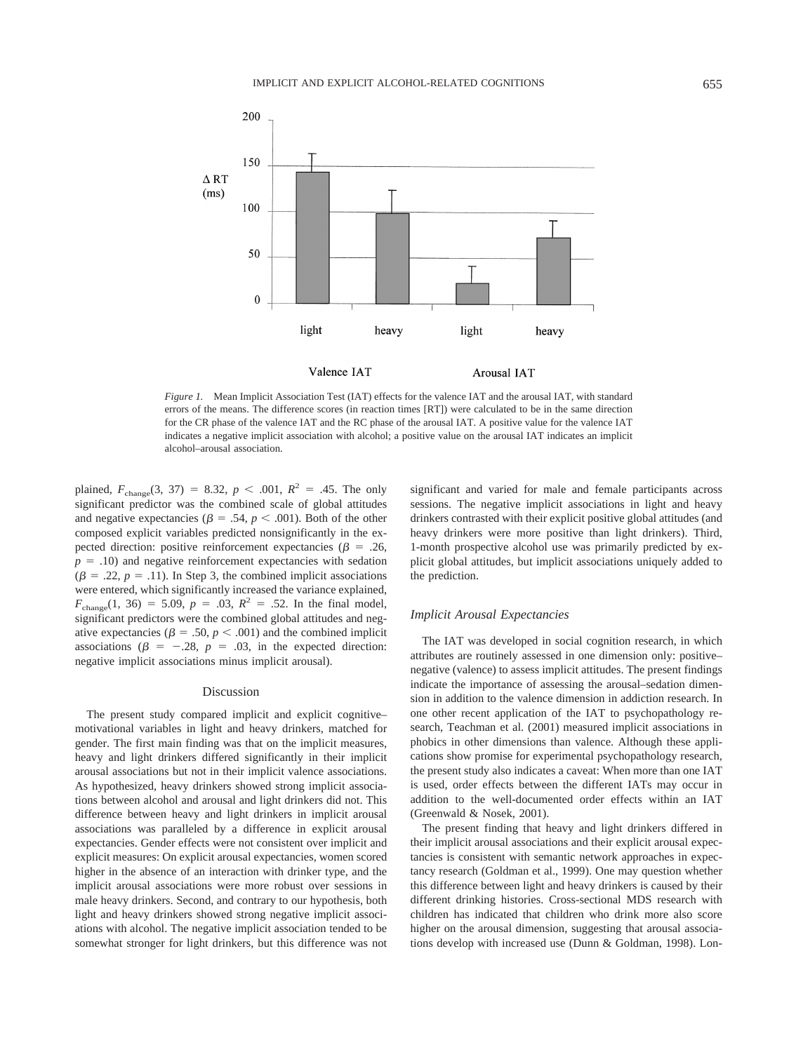

*Figure 1.* Mean Implicit Association Test (IAT) effects for the valence IAT and the arousal IAT, with standard errors of the means. The difference scores (in reaction times [RT]) were calculated to be in the same direction for the CR phase of the valence IAT and the RC phase of the arousal IAT. A positive value for the valence IAT indicates a negative implicit association with alcohol; a positive value on the arousal IAT indicates an implicit alcohol–arousal association.

plained,  $F_{\text{change}}(3, 37) = 8.32, p < .001, R^2 = .45$ . The only significant predictor was the combined scale of global attitudes and negative expectancies ( $\beta = .54$ ,  $p < .001$ ). Both of the other composed explicit variables predicted nonsignificantly in the expected direction: positive reinforcement expectancies ( $\beta = .26$ ,  $p = .10$ ) and negative reinforcement expectancies with sedation  $(\beta = .22, p = .11)$ . In Step 3, the combined implicit associations were entered, which significantly increased the variance explained,  $F_{\text{change}}(1, 36) = 5.09, p = .03, R^2 = .52.$  In the final model, significant predictors were the combined global attitudes and negative expectancies ( $\beta = .50, p < .001$ ) and the combined implicit associations ( $\beta = -.28$ ,  $p = .03$ , in the expected direction: negative implicit associations minus implicit arousal).

#### Discussion

The present study compared implicit and explicit cognitive– motivational variables in light and heavy drinkers, matched for gender. The first main finding was that on the implicit measures, heavy and light drinkers differed significantly in their implicit arousal associations but not in their implicit valence associations. As hypothesized, heavy drinkers showed strong implicit associations between alcohol and arousal and light drinkers did not. This difference between heavy and light drinkers in implicit arousal associations was paralleled by a difference in explicit arousal expectancies. Gender effects were not consistent over implicit and explicit measures: On explicit arousal expectancies, women scored higher in the absence of an interaction with drinker type, and the implicit arousal associations were more robust over sessions in male heavy drinkers. Second, and contrary to our hypothesis, both light and heavy drinkers showed strong negative implicit associations with alcohol. The negative implicit association tended to be somewhat stronger for light drinkers, but this difference was not significant and varied for male and female participants across sessions. The negative implicit associations in light and heavy drinkers contrasted with their explicit positive global attitudes (and heavy drinkers were more positive than light drinkers). Third, 1-month prospective alcohol use was primarily predicted by explicit global attitudes, but implicit associations uniquely added to the prediction.

#### *Implicit Arousal Expectancies*

The IAT was developed in social cognition research, in which attributes are routinely assessed in one dimension only: positive– negative (valence) to assess implicit attitudes. The present findings indicate the importance of assessing the arousal–sedation dimension in addition to the valence dimension in addiction research. In one other recent application of the IAT to psychopathology research, Teachman et al. (2001) measured implicit associations in phobics in other dimensions than valence. Although these applications show promise for experimental psychopathology research, the present study also indicates a caveat: When more than one IAT is used, order effects between the different IATs may occur in addition to the well-documented order effects within an IAT (Greenwald & Nosek, 2001).

The present finding that heavy and light drinkers differed in their implicit arousal associations and their explicit arousal expectancies is consistent with semantic network approaches in expectancy research (Goldman et al., 1999). One may question whether this difference between light and heavy drinkers is caused by their different drinking histories. Cross-sectional MDS research with children has indicated that children who drink more also score higher on the arousal dimension, suggesting that arousal associations develop with increased use (Dunn & Goldman, 1998). Lon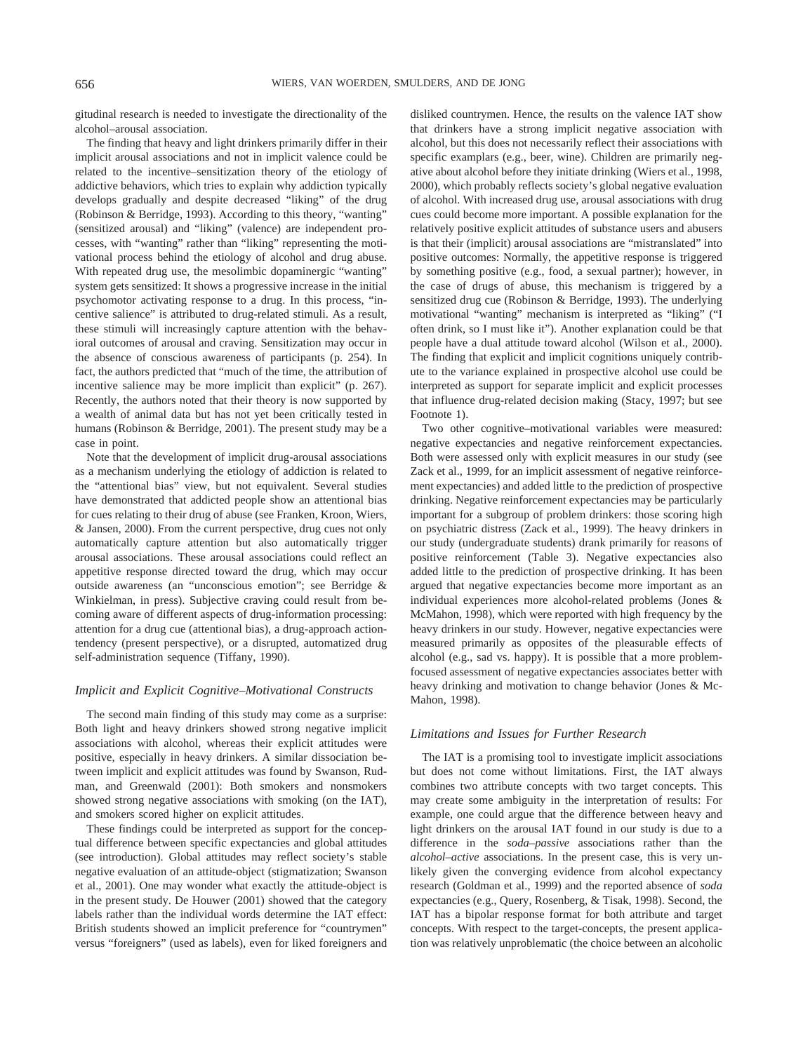gitudinal research is needed to investigate the directionality of the alcohol–arousal association.

The finding that heavy and light drinkers primarily differ in their implicit arousal associations and not in implicit valence could be related to the incentive–sensitization theory of the etiology of addictive behaviors, which tries to explain why addiction typically develops gradually and despite decreased "liking" of the drug (Robinson & Berridge, 1993). According to this theory, "wanting" (sensitized arousal) and "liking" (valence) are independent processes, with "wanting" rather than "liking" representing the motivational process behind the etiology of alcohol and drug abuse. With repeated drug use, the mesolimbic dopaminergic "wanting" system gets sensitized: It shows a progressive increase in the initial psychomotor activating response to a drug. In this process, "incentive salience" is attributed to drug-related stimuli. As a result, these stimuli will increasingly capture attention with the behavioral outcomes of arousal and craving. Sensitization may occur in the absence of conscious awareness of participants (p. 254). In fact, the authors predicted that "much of the time, the attribution of incentive salience may be more implicit than explicit" (p. 267). Recently, the authors noted that their theory is now supported by a wealth of animal data but has not yet been critically tested in humans (Robinson & Berridge, 2001). The present study may be a case in point.

Note that the development of implicit drug-arousal associations as a mechanism underlying the etiology of addiction is related to the "attentional bias" view, but not equivalent. Several studies have demonstrated that addicted people show an attentional bias for cues relating to their drug of abuse (see Franken, Kroon, Wiers, & Jansen, 2000). From the current perspective, drug cues not only automatically capture attention but also automatically trigger arousal associations. These arousal associations could reflect an appetitive response directed toward the drug, which may occur outside awareness (an "unconscious emotion"; see Berridge & Winkielman, in press). Subjective craving could result from becoming aware of different aspects of drug-information processing: attention for a drug cue (attentional bias), a drug-approach actiontendency (present perspective), or a disrupted, automatized drug self-administration sequence (Tiffany, 1990).

#### *Implicit and Explicit Cognitive–Motivational Constructs*

The second main finding of this study may come as a surprise: Both light and heavy drinkers showed strong negative implicit associations with alcohol, whereas their explicit attitudes were positive, especially in heavy drinkers. A similar dissociation between implicit and explicit attitudes was found by Swanson, Rudman, and Greenwald (2001): Both smokers and nonsmokers showed strong negative associations with smoking (on the IAT), and smokers scored higher on explicit attitudes.

These findings could be interpreted as support for the conceptual difference between specific expectancies and global attitudes (see introduction). Global attitudes may reflect society's stable negative evaluation of an attitude-object (stigmatization; Swanson et al., 2001). One may wonder what exactly the attitude-object is in the present study. De Houwer (2001) showed that the category labels rather than the individual words determine the IAT effect: British students showed an implicit preference for "countrymen" versus "foreigners" (used as labels), even for liked foreigners and disliked countrymen. Hence, the results on the valence IAT show that drinkers have a strong implicit negative association with alcohol, but this does not necessarily reflect their associations with specific examplars (e.g., beer, wine). Children are primarily negative about alcohol before they initiate drinking (Wiers et al., 1998, 2000), which probably reflects society's global negative evaluation of alcohol. With increased drug use, arousal associations with drug cues could become more important. A possible explanation for the relatively positive explicit attitudes of substance users and abusers is that their (implicit) arousal associations are "mistranslated" into positive outcomes: Normally, the appetitive response is triggered by something positive (e.g., food, a sexual partner); however, in the case of drugs of abuse, this mechanism is triggered by a sensitized drug cue (Robinson & Berridge, 1993). The underlying motivational "wanting" mechanism is interpreted as "liking" ("I often drink, so I must like it"). Another explanation could be that people have a dual attitude toward alcohol (Wilson et al., 2000). The finding that explicit and implicit cognitions uniquely contribute to the variance explained in prospective alcohol use could be interpreted as support for separate implicit and explicit processes that influence drug-related decision making (Stacy, 1997; but see Footnote 1).

Two other cognitive–motivational variables were measured: negative expectancies and negative reinforcement expectancies. Both were assessed only with explicit measures in our study (see Zack et al., 1999, for an implicit assessment of negative reinforcement expectancies) and added little to the prediction of prospective drinking. Negative reinforcement expectancies may be particularly important for a subgroup of problem drinkers: those scoring high on psychiatric distress (Zack et al., 1999). The heavy drinkers in our study (undergraduate students) drank primarily for reasons of positive reinforcement (Table 3). Negative expectancies also added little to the prediction of prospective drinking. It has been argued that negative expectancies become more important as an individual experiences more alcohol-related problems (Jones & McMahon, 1998), which were reported with high frequency by the heavy drinkers in our study. However, negative expectancies were measured primarily as opposites of the pleasurable effects of alcohol (e.g., sad vs. happy). It is possible that a more problemfocused assessment of negative expectancies associates better with heavy drinking and motivation to change behavior (Jones & Mc-Mahon, 1998).

#### *Limitations and Issues for Further Research*

The IAT is a promising tool to investigate implicit associations but does not come without limitations. First, the IAT always combines two attribute concepts with two target concepts. This may create some ambiguity in the interpretation of results: For example, one could argue that the difference between heavy and light drinkers on the arousal IAT found in our study is due to a difference in the *soda–passive* associations rather than the *alcohol–active* associations. In the present case, this is very unlikely given the converging evidence from alcohol expectancy research (Goldman et al., 1999) and the reported absence of *soda* expectancies (e.g., Query, Rosenberg, & Tisak, 1998). Second, the IAT has a bipolar response format for both attribute and target concepts. With respect to the target-concepts, the present application was relatively unproblematic (the choice between an alcoholic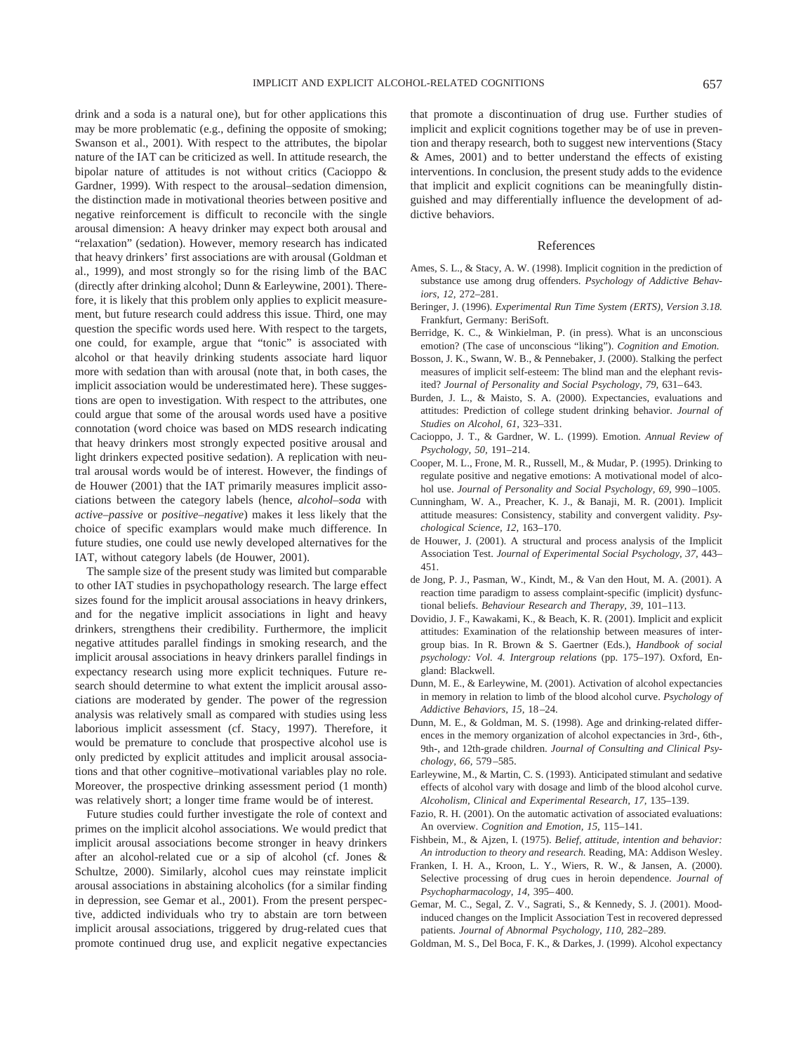drink and a soda is a natural one), but for other applications this may be more problematic (e.g., defining the opposite of smoking; Swanson et al., 2001). With respect to the attributes, the bipolar nature of the IAT can be criticized as well. In attitude research, the bipolar nature of attitudes is not without critics (Cacioppo & Gardner, 1999). With respect to the arousal–sedation dimension, the distinction made in motivational theories between positive and negative reinforcement is difficult to reconcile with the single arousal dimension: A heavy drinker may expect both arousal and "relaxation" (sedation). However, memory research has indicated that heavy drinkers' first associations are with arousal (Goldman et al., 1999), and most strongly so for the rising limb of the BAC (directly after drinking alcohol; Dunn & Earleywine, 2001). Therefore, it is likely that this problem only applies to explicit measurement, but future research could address this issue. Third, one may question the specific words used here. With respect to the targets, one could, for example, argue that "tonic" is associated with alcohol or that heavily drinking students associate hard liquor more with sedation than with arousal (note that, in both cases, the implicit association would be underestimated here). These suggestions are open to investigation. With respect to the attributes, one could argue that some of the arousal words used have a positive connotation (word choice was based on MDS research indicating that heavy drinkers most strongly expected positive arousal and light drinkers expected positive sedation). A replication with neutral arousal words would be of interest. However, the findings of de Houwer (2001) that the IAT primarily measures implicit associations between the category labels (hence, *alcohol–soda* with *active–passive* or *positive–negative*) makes it less likely that the choice of specific examplars would make much difference. In future studies, one could use newly developed alternatives for the IAT, without category labels (de Houwer, 2001).

The sample size of the present study was limited but comparable to other IAT studies in psychopathology research. The large effect sizes found for the implicit arousal associations in heavy drinkers, and for the negative implicit associations in light and heavy drinkers, strengthens their credibility. Furthermore, the implicit negative attitudes parallel findings in smoking research, and the implicit arousal associations in heavy drinkers parallel findings in expectancy research using more explicit techniques. Future research should determine to what extent the implicit arousal associations are moderated by gender. The power of the regression analysis was relatively small as compared with studies using less laborious implicit assessment (cf. Stacy, 1997). Therefore, it would be premature to conclude that prospective alcohol use is only predicted by explicit attitudes and implicit arousal associations and that other cognitive–motivational variables play no role. Moreover, the prospective drinking assessment period (1 month) was relatively short; a longer time frame would be of interest.

Future studies could further investigate the role of context and primes on the implicit alcohol associations. We would predict that implicit arousal associations become stronger in heavy drinkers after an alcohol-related cue or a sip of alcohol (cf. Jones & Schultze, 2000). Similarly, alcohol cues may reinstate implicit arousal associations in abstaining alcoholics (for a similar finding in depression, see Gemar et al., 2001). From the present perspective, addicted individuals who try to abstain are torn between implicit arousal associations, triggered by drug-related cues that promote continued drug use, and explicit negative expectancies

that promote a discontinuation of drug use. Further studies of implicit and explicit cognitions together may be of use in prevention and therapy research, both to suggest new interventions (Stacy & Ames, 2001) and to better understand the effects of existing interventions. In conclusion, the present study adds to the evidence that implicit and explicit cognitions can be meaningfully distinguished and may differentially influence the development of addictive behaviors.

#### References

- Ames, S. L., & Stacy, A. W. (1998). Implicit cognition in the prediction of substance use among drug offenders. *Psychology of Addictive Behaviors, 12,* 272–281.
- Beringer, J. (1996). *Experimental Run Time System (ERTS), Version 3.18.* Frankfurt, Germany: BeriSoft.
- Berridge, K. C., & Winkielman, P. (in press). What is an unconscious emotion? (The case of unconscious "liking"). *Cognition and Emotion.*
- Bosson, J. K., Swann, W. B., & Pennebaker, J. (2000). Stalking the perfect measures of implicit self-esteem: The blind man and the elephant revisited? *Journal of Personality and Social Psychology, 79,* 631–643.
- Burden, J. L., & Maisto, S. A. (2000). Expectancies, evaluations and attitudes: Prediction of college student drinking behavior. *Journal of Studies on Alcohol, 61,* 323–331.
- Cacioppo, J. T., & Gardner, W. L. (1999). Emotion. *Annual Review of Psychology, 50,* 191–214.
- Cooper, M. L., Frone, M. R., Russell, M., & Mudar, P. (1995). Drinking to regulate positive and negative emotions: A motivational model of alcohol use. *Journal of Personality and Social Psychology, 69,* 990–1005.
- Cunningham, W. A., Preacher, K. J., & Banaji, M. R. (2001). Implicit attitude measures: Consistency, stability and convergent validity. *Psychological Science, 12,* 163–170.
- de Houwer, J. (2001). A structural and process analysis of the Implicit Association Test. *Journal of Experimental Social Psychology, 37,* 443– 451.
- de Jong, P. J., Pasman, W., Kindt, M., & Van den Hout, M. A. (2001). A reaction time paradigm to assess complaint-specific (implicit) dysfunctional beliefs. *Behaviour Research and Therapy, 39,* 101–113.
- Dovidio, J. F., Kawakami, K., & Beach, K. R. (2001). Implicit and explicit attitudes: Examination of the relationship between measures of intergroup bias. In R. Brown & S. Gaertner (Eds.), *Handbook of social psychology: Vol. 4. Intergroup relations* (pp. 175–197). Oxford, England: Blackwell.
- Dunn, M. E., & Earleywine, M. (2001). Activation of alcohol expectancies in memory in relation to limb of the blood alcohol curve. *Psychology of Addictive Behaviors, 15,* 18–24.
- Dunn, M. E., & Goldman, M. S. (1998). Age and drinking-related differences in the memory organization of alcohol expectancies in 3rd-, 6th-, 9th-, and 12th-grade children. *Journal of Consulting and Clinical Psychology, 66,* 579–585.
- Earleywine, M., & Martin, C. S. (1993). Anticipated stimulant and sedative effects of alcohol vary with dosage and limb of the blood alcohol curve. *Alcoholism, Clinical and Experimental Research, 17,* 135–139.
- Fazio, R. H. (2001). On the automatic activation of associated evaluations: An overview. *Cognition and Emotion, 15,* 115–141.
- Fishbein, M., & Ajzen, I. (1975). *Belief, attitude, intention and behavior: An introduction to theory and research.* Reading, MA: Addison Wesley.
- Franken, I. H. A., Kroon, L. Y., Wiers, R. W., & Jansen, A. (2000). Selective processing of drug cues in heroin dependence. *Journal of Psychopharmacology, 14,* 395–400.
- Gemar, M. C., Segal, Z. V., Sagrati, S., & Kennedy, S. J. (2001). Moodinduced changes on the Implicit Association Test in recovered depressed patients. *Journal of Abnormal Psychology, 110,* 282–289.
- Goldman, M. S., Del Boca, F. K., & Darkes, J. (1999). Alcohol expectancy